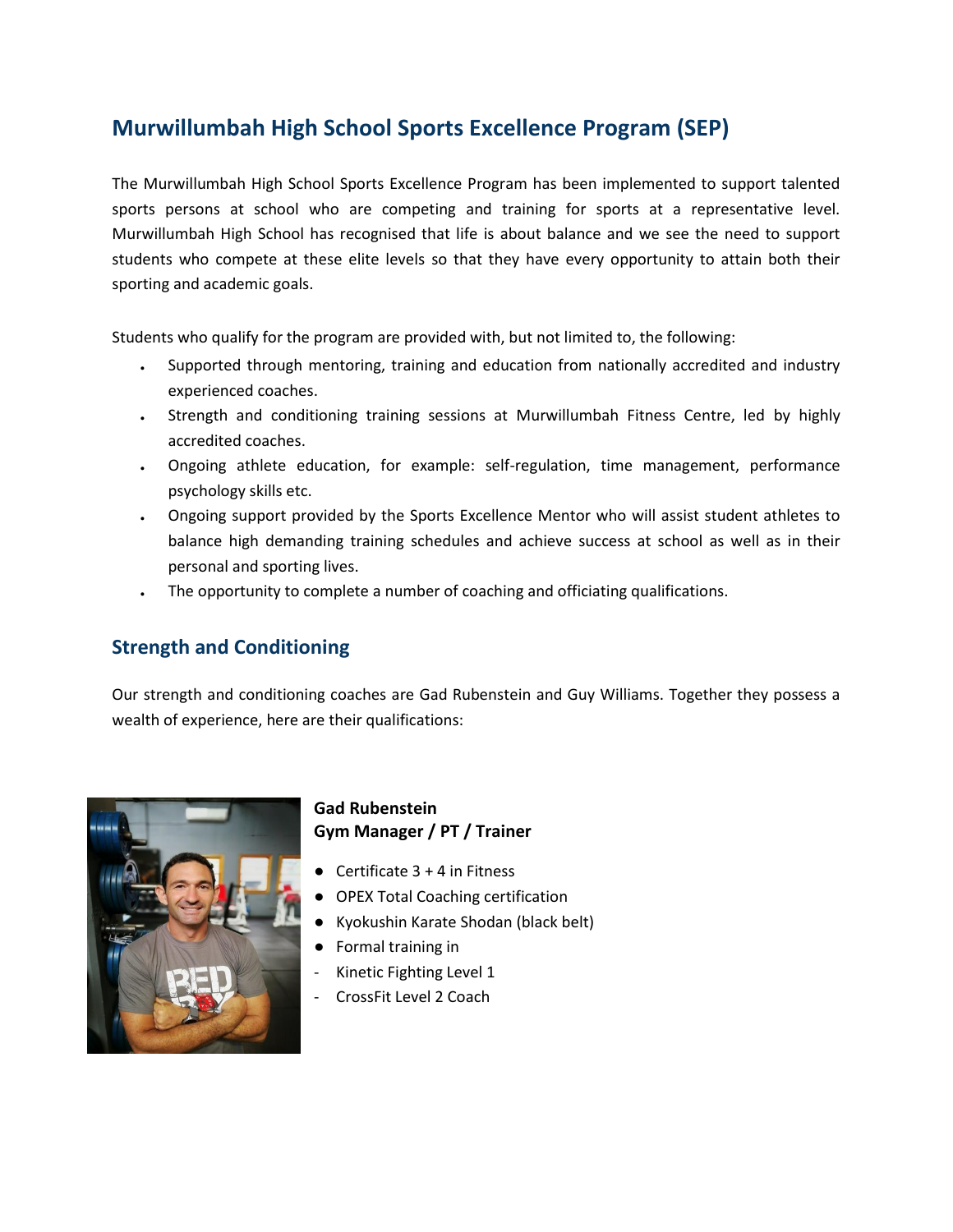# **Murwillumbah High School Sports Excellence Program (SEP)**

The Murwillumbah High School Sports Excellence Program has been implemented to support talented sports persons at school who are competing and training for sports at a representative level. Murwillumbah High School has recognised that life is about balance and we see the need to support students who compete at these elite levels so that they have every opportunity to attain both their sporting and academic goals.

Students who qualify for the program are provided with, but not limited to, the following:

- Supported through mentoring, training and education from nationally accredited and industry experienced coaches.
- Strength and conditioning training sessions at Murwillumbah Fitness Centre, led by highly accredited coaches.
- Ongoing athlete education, for example: self-regulation, time management, performance psychology skills etc.
- Ongoing support provided by the Sports Excellence Mentor who will assist student athletes to balance high demanding training schedules and achieve success at school as well as in their personal and sporting lives.
- The opportunity to complete a number of coaching and officiating qualifications.

### **Strength and Conditioning**

Our strength and conditioning coaches are Gad Rubenstein and Guy Williams. Together they possess a wealth of experience, here are their qualifications:



#### **Gad Rubenstein Gym Manager / PT / Trainer**

- Certificate  $3 + 4$  in Fitness
- OPEX Total Coaching certification
- Kyokushin Karate Shodan (black belt)
- Formal training in
- Kinetic Fighting Level 1
- CrossFit Level 2 Coach